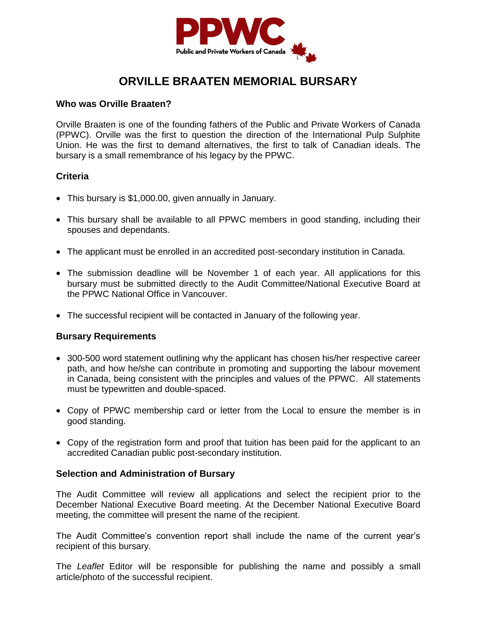

## **ORVILLE BRAATEN MEMORIAL BURSARY**

#### **Who was Orville Braaten?**

Orville Braaten is one of the founding fathers of the Public and Private Workers of Canada (PPWC). Orville was the first to question the direction of the International Pulp Sulphite Union. He was the first to demand alternatives, the first to talk of Canadian ideals. The bursary is a small remembrance of his legacy by the PPWC.

### **Criteria**

- This bursary is \$1,000.00, given annually in January.
- This bursary shall be available to all PPWC members in good standing, including their spouses and dependants.
- The applicant must be enrolled in an accredited post-secondary institution in Canada.
- The submission deadline will be November 1 of each year. All applications for this bursary must be submitted directly to the Audit Committee/National Executive Board at the PPWC National Office in Vancouver.
- The successful recipient will be contacted in January of the following year.

### **Bursary Requirements**

- 300-500 word statement outlining why the applicant has chosen his/her respective career path, and how he/she can contribute in promoting and supporting the labour movement in Canada, being consistent with the principles and values of the PPWC. All statements must be typewritten and double-spaced.
- Copy of PPWC membership card or letter from the Local to ensure the member is in good standing.
- Copy of the registration form and proof that tuition has been paid for the applicant to an accredited Canadian public post-secondary institution.

### **Selection and Administration of Bursary**

The Audit Committee will review all applications and select the recipient prior to the December National Executive Board meeting. At the December National Executive Board meeting, the committee will present the name of the recipient.

The Audit Committee's convention report shall include the name of the current year's recipient of this bursary.

The *Leaflet* Editor will be responsible for publishing the name and possibly a small article/photo of the successful recipient.